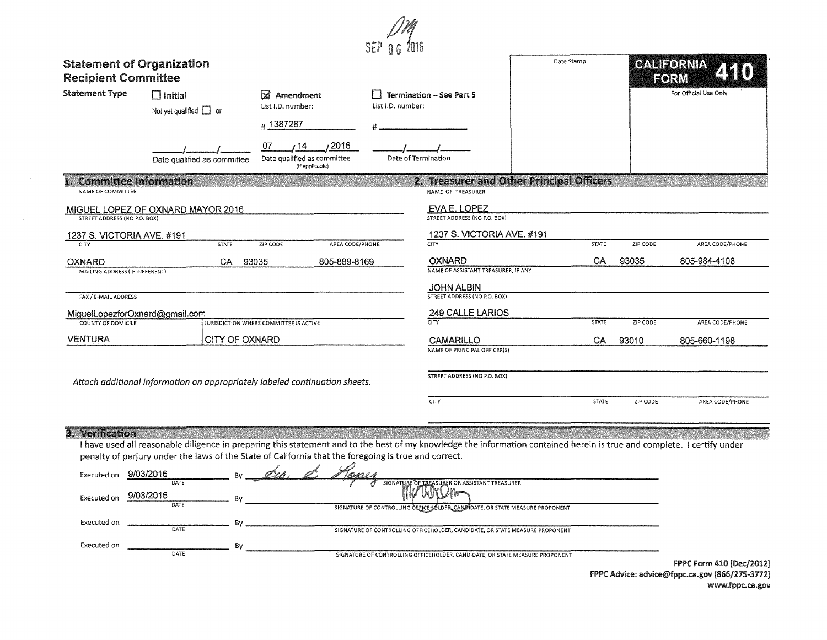| <b>Statement of Organization</b><br><b>Recipient Committee</b> |                                                                                                                                                                                                                                                                                 |                                                              |                   |                                                                                                    | Date Stamp |              |          | CALIFORNIA<br>FORM       |
|----------------------------------------------------------------|---------------------------------------------------------------------------------------------------------------------------------------------------------------------------------------------------------------------------------------------------------------------------------|--------------------------------------------------------------|-------------------|----------------------------------------------------------------------------------------------------|------------|--------------|----------|--------------------------|
| <b>Statement Type</b>                                          | $\Box$ Initial<br>Not yet qualified $\Box$ or                                                                                                                                                                                                                                   | <b>X</b> Amendment<br>List I.D. number:                      | List I.D. number: | <b>Termination - See Part 5</b>                                                                    |            |              |          | For Official Use Only    |
|                                                                |                                                                                                                                                                                                                                                                                 | #1387287                                                     |                   |                                                                                                    |            |              |          |                          |
|                                                                | Date qualified as committee                                                                                                                                                                                                                                                     | 2016<br>07<br>Date qualified as committee<br>(If applicable) |                   | Date of Termination                                                                                |            |              |          |                          |
| <b>Committee Information</b><br>潘溪<br>NAME OF COMMITTEE        |                                                                                                                                                                                                                                                                                 |                                                              |                   | 2. Treasurer and Other Principal Officers<br>NAME OF TREASURER                                     |            |              |          |                          |
| <b>STREET ADDRESS (NO P.O. BOX)</b>                            | MIGUEL LOPEZ OF OXNARD MAYOR 2016                                                                                                                                                                                                                                               |                                                              |                   | EVA E. LOPEZ<br>STREET ADDRESS (NO P.O. BOX)                                                       |            |              |          |                          |
| 1237 S. VICTORIA AVE. #191                                     |                                                                                                                                                                                                                                                                                 |                                                              |                   | 1237 S. VICTORIA AVE. #191                                                                         |            |              |          |                          |
|                                                                | <b>STATE</b>                                                                                                                                                                                                                                                                    | <b>ZIP CODE</b><br>AREA CODE/PHONE                           |                   | <b>CITY</b>                                                                                        |            | <b>STATE</b> | ZIP CODE | AREA CODE/PHONE          |
| <b>OXNARD</b><br>MAILING ADDRESS (IF DIFFERENT)                | CA                                                                                                                                                                                                                                                                              | 805-889-8169<br>93035                                        |                   | OXNARD<br>NAME OF ASSISTANT TREASURER, IF ANY                                                      |            | CA           | 93035    | 805-984-4108             |
|                                                                |                                                                                                                                                                                                                                                                                 |                                                              |                   | <b>JOHN ALBIN</b>                                                                                  |            |              |          |                          |
| FAX / E-MAIL ADDRESS                                           |                                                                                                                                                                                                                                                                                 |                                                              |                   | STREET ADDRESS (NO P.O. BOX)                                                                       |            |              |          |                          |
| MiguelLopezforOxnard@gmail.com<br><b>COUNTY OF DOMICILE</b>    |                                                                                                                                                                                                                                                                                 | JURISDICTION WHERE COMMITTEE IS ACTIVE                       |                   | 249 CALLE LARIOS<br><b>CITY</b>                                                                    |            | <b>STATE</b> | ZIP CODE | AREA CODE/PHONE          |
|                                                                |                                                                                                                                                                                                                                                                                 |                                                              |                   |                                                                                                    |            |              |          |                          |
| <b>VENTURA</b>                                                 | CITY OF OXNARD                                                                                                                                                                                                                                                                  |                                                              |                   | <b>CAMARILLO</b><br>NAME OF PRINCIPAL OFFICER(S)                                                   |            | CA           | 93010    | 805-660-1198             |
|                                                                |                                                                                                                                                                                                                                                                                 |                                                              |                   | STREET ADDRESS (NO P.O. BOX)                                                                       |            |              |          |                          |
|                                                                | Attach additional information on appropriately labeled continuation sheets.                                                                                                                                                                                                     |                                                              |                   |                                                                                                    |            |              |          |                          |
|                                                                |                                                                                                                                                                                                                                                                                 |                                                              |                   | <b>CITY</b>                                                                                        |            | <b>STATE</b> | ZIP CODE | AREA CODE/PHONE          |
|                                                                |                                                                                                                                                                                                                                                                                 |                                                              |                   |                                                                                                    |            |              |          |                          |
| 3. Verification                                                | I have used all reasonable diligence in preparing this statement and to the best of my knowledge the information contained herein is true and complete. I certify under<br>penalty of perjury under the laws of the State of California that the foregoing is true and correct. |                                                              |                   |                                                                                                    |            |              |          |                          |
| Executed on 9/03/2016                                          | $By_$                                                                                                                                                                                                                                                                           | Forais<br><u>Cro,</u>                                        |                   |                                                                                                    |            |              |          |                          |
| Executed on                                                    | 9/03/2016<br>Bν<br>DATE                                                                                                                                                                                                                                                         |                                                              |                   | SSISTANT TREASUREI<br>SIGNATURE OF CONTROLLING OFFICEHOLDER, CANDIDATE, OR STATE MEASURE PROPONENT |            |              |          |                          |
| Executed on                                                    | B٧<br>DATE                                                                                                                                                                                                                                                                      |                                                              |                   | SIGNATURE OF CONTROLLING OFFICEHOLDER, CANDIDATE, OR STATE MEASURE PROPONENT                       |            |              |          |                          |
| Executed on                                                    | Bv                                                                                                                                                                                                                                                                              |                                                              |                   |                                                                                                    |            |              |          |                          |
|                                                                | DATE                                                                                                                                                                                                                                                                            |                                                              |                   | SIGNATURE OF CONTROLLING OFFICEHOLDER, CANDIDATE, OR STATE MEASURE PROPONENT                       |            |              |          | FPPC Form 410 (Dec/2012) |

FPPC Advice: advice@fppc.ra.gov (866/275-3172) www.fppc.ca.gov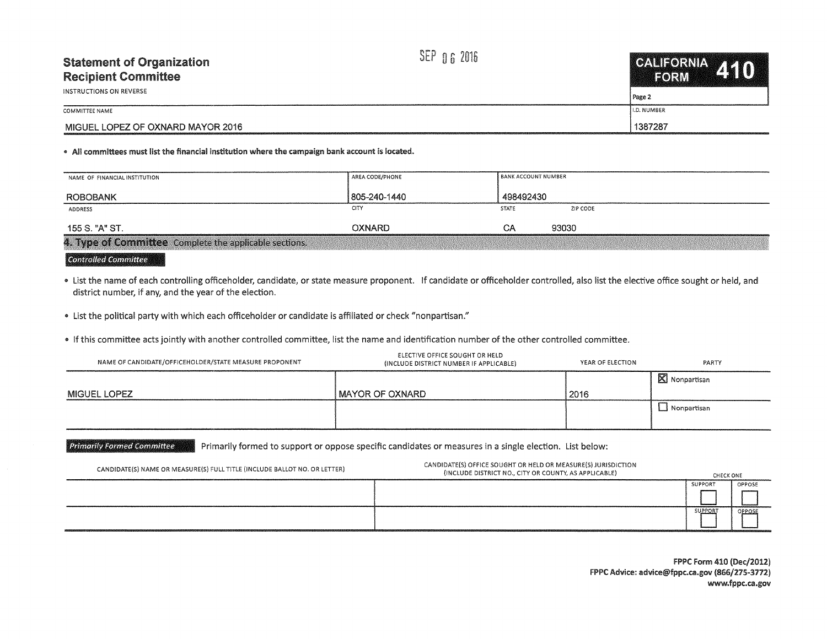| <b>Statement of Organization</b><br><b>Recipient Committee</b><br>INSTRUCTIONS ON REVERSE | SEP 06 2016 | CALIFORNIA A ANY<br>FORM<br>  Page 2 |
|-------------------------------------------------------------------------------------------|-------------|--------------------------------------|
| COMMITTEE NAME                                                                            |             | II.D. NUMBER                         |
| MIGUEL LOPEZ OF OXNARD MAYOR 2016                                                         |             | 1387287                              |

## • All committees must list the financial institution where the campaign bank account is located.

| NAME OF FINANCIAL INSTITUTION                          | AREA CODE/PHONE | BANK ACCOUNT NUMBER |          |
|--------------------------------------------------------|-----------------|---------------------|----------|
| <b>ROBOBANK</b>                                        | 805-240-1440    | 498492430           |          |
| ADDRESS                                                | CITY            | <b>STATE</b>        | ZIP CODE |
| 155 S. "A" ST.                                         | OXNARD.         | CА                  | 93030    |
| 4. Type of Committee Complete the applicable sections. |                 |                     |          |

## Controlled Committee

.. list the name of each controlling officeholder, candidate, or state measure proponent. If candidate or officeholder controlled, also list the elective office sought or held, and district number, if any, and the year of the election.

• list the political party with which each officeholder or candidate is affiliated or check "nonpartisan."

• If this committee acts jointly with another controlled committee, list the name and identification number of the other controlled committee.

| NAME OF CANDIDATE/OFFICEHOLDER/STATE MEASURE PROPONENT | ELECTIVE OFFICE SOUGHT OR HELD<br>(INCLUDE DISTRICT NUMBER IF APPLICABLE) | YEAR OF ELECTION | PARTY                   |
|--------------------------------------------------------|---------------------------------------------------------------------------|------------------|-------------------------|
|                                                        |                                                                           |                  | $\boxtimes$ Nonpartisan |
| <b>MIGUEL LOPEZ</b>                                    | <b>I MAYOR OF OXNARD</b>                                                  | 2016             |                         |
|                                                        |                                                                           |                  | $\Box$ Nonpartisan      |
|                                                        |                                                                           |                  |                         |

Primarily Formed Committee Primarily formed to support or oppose specific candidates or measures in a single election. List below:

| CANDIDATE(S) NAME OR MEASURE(S) FULL TITLE (INCLUDE BALLOT NO. OR LETTER) | CANDIDATE(S) OFFICE SOUGHT OR HELD OR MEASURE(S) JURISDICTION<br>(INCLUDE DISTRICT NO., CITY OR COUNTY, AS APPLICABLE) | CHECK ONE |        |
|---------------------------------------------------------------------------|------------------------------------------------------------------------------------------------------------------------|-----------|--------|
|                                                                           |                                                                                                                        | SUPPORT   | OPPOSE |
|                                                                           |                                                                                                                        | SUPPORT   | OPPOSE |
|                                                                           |                                                                                                                        |           |        |

FPPC Form 410 (Dec/2012) FPPC Advice: advice@fppc.ca.gov {866/275-3712) www.fppc.ca.gov